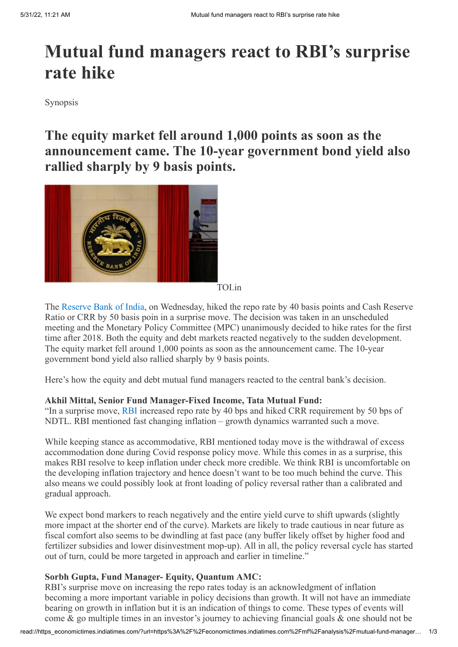# **Mutual fund managers react to RBI's surprise rate hike**

Synopsis

**The equity market fell around 1,000 points as soon as the announcement came. The 10-year government bond yield also rallied sharply by 9 basis points.**



TOI.in

The [Reserve Bank of India](https://economictimes.indiatimes.com/topic/reserve-bank-of-india), on Wednesday, hiked the repo rate by 40 basis points and Cash Reserve Ratio or CRR by 50 basis poin in a surprise move. The decision was taken in an unscheduled meeting and the Monetary Policy Committee (MPC) unanimously decided to hike rates for the first time after 2018. Both the equity and debt markets reacted negatively to the sudden development. The equity market fell around 1,000 points as soon as the announcement came. The 10-year government bond yield also rallied sharply by 9 basis points.

Here's how the equity and debt mutual fund managers reacted to the central bank's decision.

### **Akhil Mittal, Senior Fund Manager-Fixed Income, Tata Mutual Fund:**

"In a surprise move, [RBI](https://economictimes.indiatimes.com/markets/rbi) increased repo rate by 40 bps and hiked CRR requirement by 50 bps of NDTL. RBI mentioned fast changing inflation – growth dynamics warranted such a move.

While keeping stance as accommodative, RBI mentioned today move is the withdrawal of excess accommodation done during Covid response policy move. While this comes in as a surprise, this makes RBI resolve to keep inflation under check more credible. We think RBI is uncomfortable on the developing inflation trajectory and hence doesn't want to be too much behind the curve. This also means we could possibly look at front loading of policy reversal rather than a calibrated and gradual approach.

We expect bond markers to reach negatively and the entire yield curve to shift upwards (slightly more impact at the shorter end of the curve). Markets are likely to trade cautious in near future as fiscal comfort also seems to be dwindling at fast pace (any buffer likely offset by higher food and fertilizer subsidies and lower disinvestment mop-up). All in all, the policy reversal cycle has started out of turn, could be more targeted in approach and earlier in timeline."

### **Sorbh Gupta, Fund Manager- Equity, Quantum AMC:**

RBI's surprise move on increasing the repo rates today is an acknowledgment of inflation becoming a more important variable in policy decisions than growth. It will not have an immediate bearing on growth in inflation but it is an indication of things to come. These types of events will come & go multiple times in an investor's journey to achieving financial goals & one should not be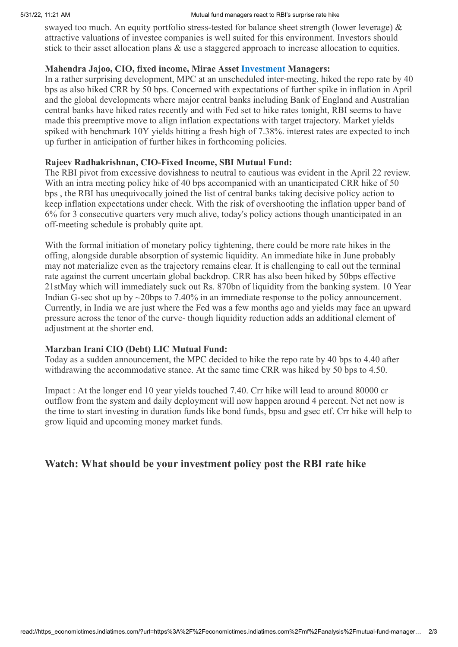#### 5/31/22, 11:21 AM **Mutual fund managers react to RBI's surprise rate hike**

swayed too much. An equity portfolio stress-tested for balance sheet strength (lower leverage)  $\&$ attractive valuations of investee companies is well suited for this environment. Investors should stick to their asset allocation plans & use a staggered approach to increase allocation to equities.

## **Mahendra Jajoo, CIO, fixed income, Mirae Asset [Investment](https://economictimes.indiatimes.com/wealth/invest) Managers:**

In a rather surprising development, MPC at an unscheduled inter-meeting, hiked the repo rate by 40 bps as also hiked CRR by 50 bps. Concerned with expectations of further spike in inflation in April and the global developments where major central banks including Bank of England and Australian central banks have hiked rates recently and with Fed set to hike rates tonight, RBI seems to have made this preemptive move to align inflation expectations with target trajectory. Market yields spiked with benchmark 10Y yields hitting a fresh high of 7.38%. interest rates are expected to inch up further in anticipation of further hikes in forthcoming policies.

# **Rajeev Radhakrishnan, CIO-Fixed Income, SBI Mutual Fund:**

The RBI pivot from excessive dovishness to neutral to cautious was evident in the April 22 review. With an intra meeting policy hike of 40 bps accompanied with an unanticipated CRR hike of 50 bps , the RBI has unequivocally joined the list of central banks taking decisive policy action to keep inflation expectations under check. With the risk of overshooting the inflation upper band of 6% for 3 consecutive quarters very much alive, today's policy actions though unanticipated in an off-meeting schedule is probably quite apt.

With the formal initiation of monetary policy tightening, there could be more rate hikes in the offing, alongside durable absorption of systemic liquidity. An immediate hike in June probably may not materialize even as the trajectory remains clear. It is challenging to call out the terminal rate against the current uncertain global backdrop. CRR has also been hiked by 50bps effective 21stMay which will immediately suck out Rs. 870bn of liquidity from the banking system. 10 Year Indian G-sec shot up by  $\sim$ 20bps to 7.40% in an immediate response to the policy announcement. Currently, in India we are just where the Fed was a few months ago and yields may face an upward pressure across the tenor of the curve- though liquidity reduction adds an additional element of adjustment at the shorter end.

# **Marzban Irani CIO (Debt) LIC Mutual Fund:**

Today as a sudden announcement, the MPC decided to hike the repo rate by 40 bps to 4.40 after withdrawing the accommodative stance. At the same time CRR was hiked by 50 bps to 4.50.

Impact : At the longer end 10 year yields touched 7.40. Crr hike will lead to around 80000 cr outflow from the system and daily deployment will now happen around 4 percent. Net net now is the time to start investing in duration funds like bond funds, bpsu and gsec etf. Crr hike will help to grow liquid and upcoming money market funds.

# **Watch: What should be your investment policy post the RBI rate hike**